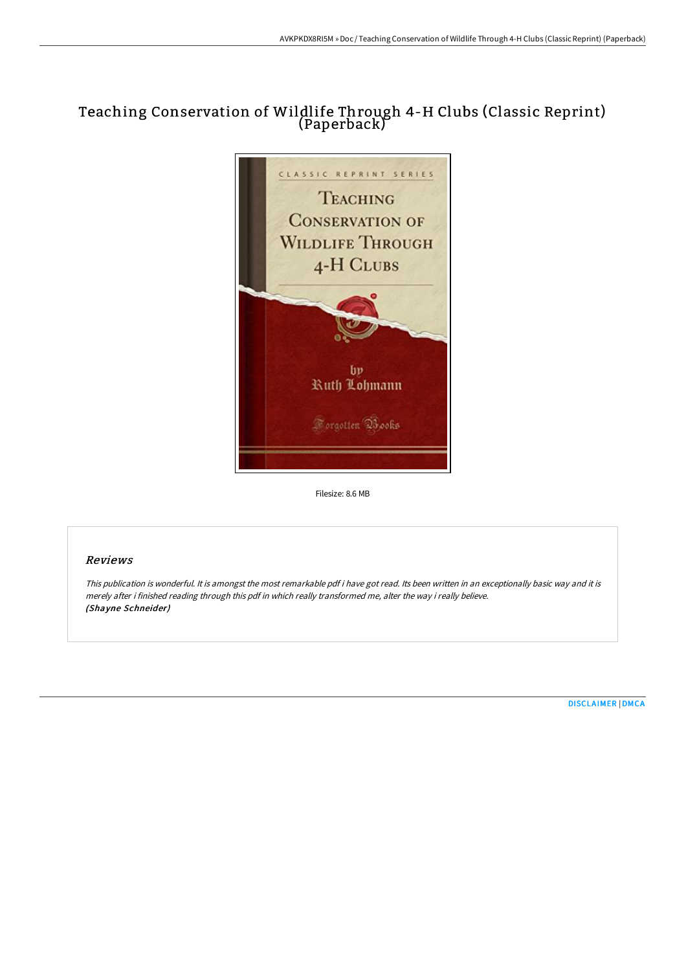# Teaching Conservation of Wildlife Through 4-H Clubs (Classic Reprint) (Paperback)



Filesize: 8.6 MB

## Reviews

This publication is wonderful. It is amongst the most remarkable pdf i have got read. Its been written in an exceptionally basic way and it is merely after i finished reading through this pdf in which really transformed me, alter the way i really believe. (Shayne Schneider)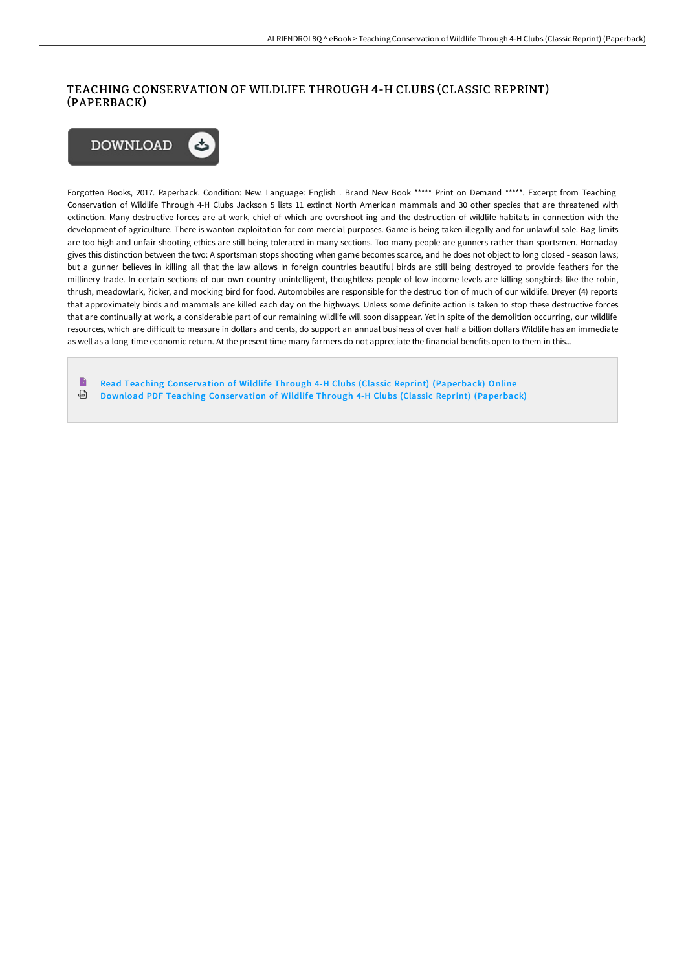## TEACHING CONSERVATION OF WILDLIFE THROUGH 4-H CLUBS (CLASSIC REPRINT) (PAPERBACK)



Forgotten Books, 2017. Paperback. Condition: New. Language: English . Brand New Book \*\*\*\*\* Print on Demand \*\*\*\*\*. Excerpt from Teaching Conservation of Wildlife Through 4-H Clubs Jackson 5 lists 11 extinct North American mammals and 30 other species that are threatened with extinction. Many destructive forces are at work, chief of which are overshoot ing and the destruction of wildlife habitats in connection with the development of agriculture. There is wanton exploitation for com mercial purposes. Game is being taken illegally and for unlawful sale. Bag limits are too high and unfair shooting ethics are still being tolerated in many sections. Too many people are gunners rather than sportsmen. Hornaday gives this distinction between the two: A sportsman stops shooting when game becomes scarce, and he does not object to long closed - season laws; but a gunner believes in killing all that the law allows In foreign countries beautiful birds are still being destroyed to provide feathers for the millinery trade. In certain sections of our own country unintelligent, thoughtless people of low-income levels are killing songbirds like the robin, thrush, meadowlark, ?icker, and mocking bird for food. Automobiles are responsible for the destruo tion of much of our wildlife. Dreyer (4) reports that approximately birds and mammals are killed each day on the highways. Unless some definite action is taken to stop these destructive forces that are continually at work, a considerable part of our remaining wildlife will soon disappear. Yet in spite of the demolition occurring, our wildlife resources, which are difficult to measure in dollars and cents, do support an annual business of over half a billion dollars Wildlife has an immediate as well as a long-time economic return. At the present time many farmers do not appreciate the financial benefits open to them in this...

B Read Teaching Conservation of Wildlife Through 4-H Clubs (Classic Reprint) [\(Paperback\)](http://www.bookdirs.com/teaching-conservation-of-wildlife-through-4-h-cl.html) Online ⊕ Download PDF Teaching Conservation of Wildlife Through 4-H Clubs (Classic Reprint) [\(Paperback\)](http://www.bookdirs.com/teaching-conservation-of-wildlife-through-4-h-cl.html)